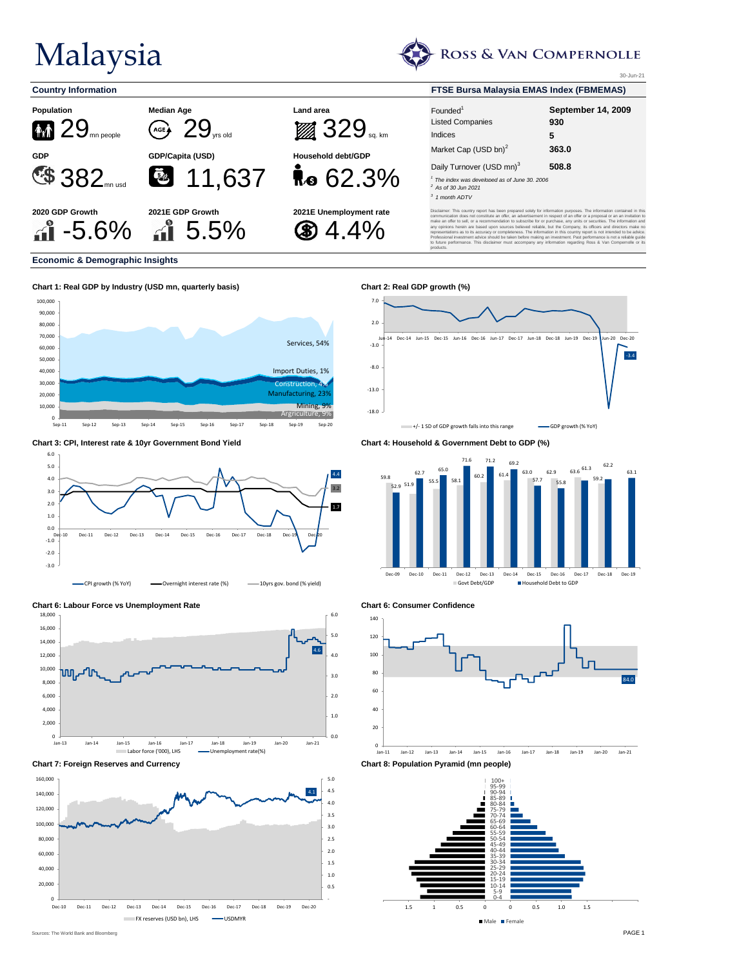## Malaysia







| <b>Country Information</b>          |                                                                          | <b>FTSE Bursa Malaysia EMAS Index (FBMEMAS)</b> |                                                                                                                                                              |                                |  |  |
|-------------------------------------|--------------------------------------------------------------------------|-------------------------------------------------|--------------------------------------------------------------------------------------------------------------------------------------------------------------|--------------------------------|--|--|
| Population<br><b>M</b><br>mn people | <b>Median Age</b><br>AGE A<br>$\mathbf{J}_{\mathrm{vrs} \,\mathrm{old}}$ | Land area<br><b>129 SQ</b>                      | Founded <sup>1</sup><br><b>Listed Companies</b><br>Indices                                                                                                   | September 14, 2009<br>930<br>5 |  |  |
| <b>GDP</b><br>E\$ 382               | GDP/Capita (USD)<br>零<br>11,637                                          | Household debt/GDP<br><b>Re</b> $62.3\%$        | Market Cap (USD bn) <sup>2</sup><br>Daily Turnover (USD mn) <sup>3</sup><br>The index was developed as of June 30, 2006<br>As of 30 Jun 2021<br>1 month ADTV | 363.0<br>508.8                 |  |  |
|                                     |                                                                          |                                                 |                                                                                                                                                              |                                |  |  |

30-Jun-21

Disclaimer: This country report has been prepared solely for information purposes. The information contained in this communication does not constitute an offer, an advertisement in respect of an offer or a proposal or an an invitation to make an offer to sell, or a recommendation to subscribe for or purchase, any units or securities. The information and any opinions herein are based upon sources believed reliable, but the Company, its officers and directors make no representations as to its accuracy or completeness. The information in this country report is not intended to be advice. Professional investment advice should be taken before making an investment. Past performance is not a reliable guide to future performance. This disclaimer must accompany any information regarding Ross & Van Compernolle or its products.

**Economic & Demographic Insights**









**Chart 6: Labour Force vs Unemployment Rate Chart 6: Consumer Confidence**



**Chart 7: Foreign Reserves and Currency Chart 8: Population Pyramid (mn people)**











Sources: The World Bank and Bloomberg **PAGE 1**